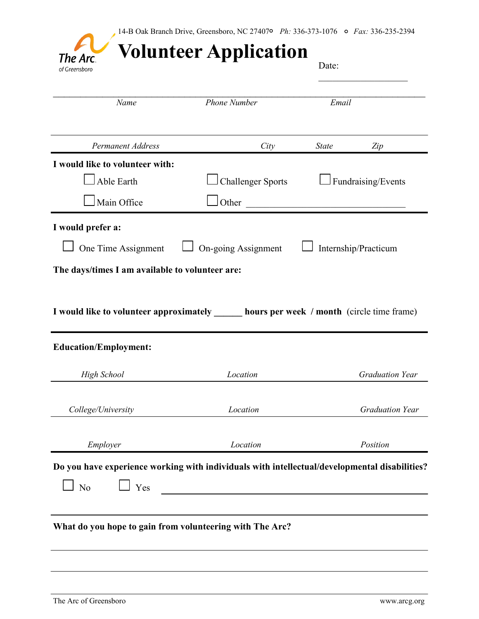| The Arc<br>of Greensboro                                                                                                                        | <b>Volunteer Application</b> | Date:                  |  |
|-------------------------------------------------------------------------------------------------------------------------------------------------|------------------------------|------------------------|--|
| Name                                                                                                                                            | <b>Phone Number</b>          | Email                  |  |
| <b>Permanent Address</b>                                                                                                                        | City                         | <b>State</b><br>Zip    |  |
| I would like to volunteer with:                                                                                                                 |                              |                        |  |
| Able Earth                                                                                                                                      | <b>Challenger Sports</b>     | Fundraising/Events     |  |
| Main Office                                                                                                                                     | <b>J</b> Other               |                        |  |
| I would prefer a:                                                                                                                               |                              |                        |  |
| One Time Assignment                                                                                                                             | On-going Assignment          | Internship/Practicum   |  |
| The days/times I am available to volunteer are:                                                                                                 |                              |                        |  |
|                                                                                                                                                 |                              |                        |  |
|                                                                                                                                                 |                              |                        |  |
| <b>High School</b>                                                                                                                              | Location                     | <b>Graduation Year</b> |  |
| I would like to volunteer approximately ______ hours per week / month (circle time frame)<br><b>Education/Employment:</b><br>College/University | Location                     | <b>Graduation Year</b> |  |
| Employer                                                                                                                                        | Location                     | Position               |  |
|                                                                                                                                                 |                              |                        |  |
| Do you have experience working with individuals with intellectual/developmental disabilities?<br>$\perp$ Yes<br>N <sub>o</sub>                  |                              |                        |  |